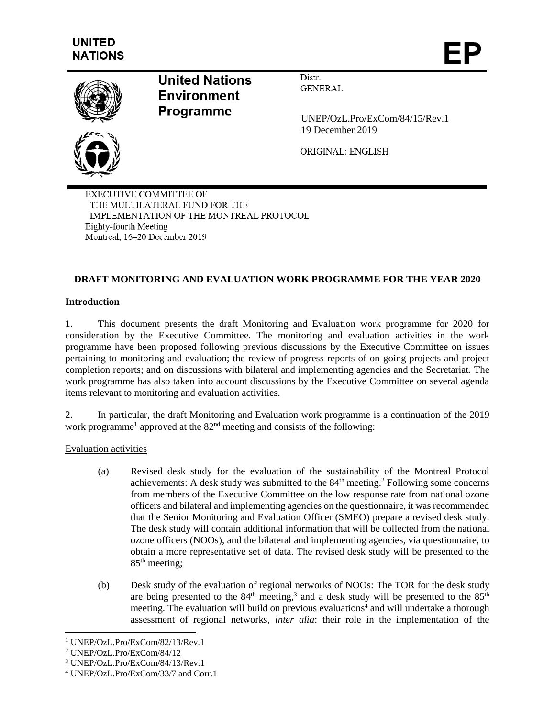

# **United Nations Environment Programme**

Distr. **GENERAL** 

 UNEP/OzL.Pro/ExCom/84/15/Rev.1 19 December 2019

ORIGINAL: ENGLISH

**EXECUTIVE COMMITTEE OF** THE MULTILATERAL FUND FOR THE IMPLEMENTATION OF THE MONTREAL PROTOCOL Eighty-fourth Meeting Montreal, 16-20 December 2019

# **DRAFT MONITORING AND EVALUATION WORK PROGRAMME FOR THE YEAR 2020**

### **Introduction**

1. This document presents the draft Monitoring and Evaluation work programme for 2020 for consideration by the Executive Committee. The monitoring and evaluation activities in the work programme have been proposed following previous discussions by the Executive Committee on issues pertaining to monitoring and evaluation; the review of progress reports of on-going projects and project completion reports; and on discussions with bilateral and implementing agencies and the Secretariat. The work programme has also taken into account discussions by the Executive Committee on several agenda items relevant to monitoring and evaluation activities.

2. In particular, the draft Monitoring and Evaluation work programme is a continuation of the 2019 work programme<sup>1</sup> approved at the  $82<sup>nd</sup>$  meeting and consists of the following:

#### Evaluation activities

- (a) Revised desk study for the evaluation of the sustainability of the Montreal Protocol achievements: A desk study was submitted to the  $84<sup>th</sup>$  meeting.<sup>2</sup> Following some concerns from members of the Executive Committee on the low response rate from national ozone officers and bilateral and implementing agencies on the questionnaire, it was recommended that the Senior Monitoring and Evaluation Officer (SMEO) prepare a revised desk study. The desk study will contain additional information that will be collected from the national ozone officers (NOOs), and the bilateral and implementing agencies, via questionnaire, to obtain a more representative set of data. The revised desk study will be presented to the  $85<sup>th</sup>$  meeting;
- (b) Desk study of the evaluation of regional networks of NOOs: The TOR for the desk study are being presented to the  $84<sup>th</sup>$  meeting,<sup>3</sup> and a desk study will be presented to the  $85<sup>th</sup>$ meeting. The evaluation will build on previous evaluations 4 and will undertake a thorough assessment of regional networks, *inter alia*: their role in the implementation of the

l

<sup>1</sup> UNEP/OzL.Pro/ExCom/82/13/Rev.1

<sup>2</sup> UNEP/OzL.Pro/ExCom/84/12

<sup>3</sup> UNEP/OzL.Pro/ExCom/84/13/Rev.1

<sup>4</sup> UNEP/OzL.Pro/ExCom/33/7 and Corr.1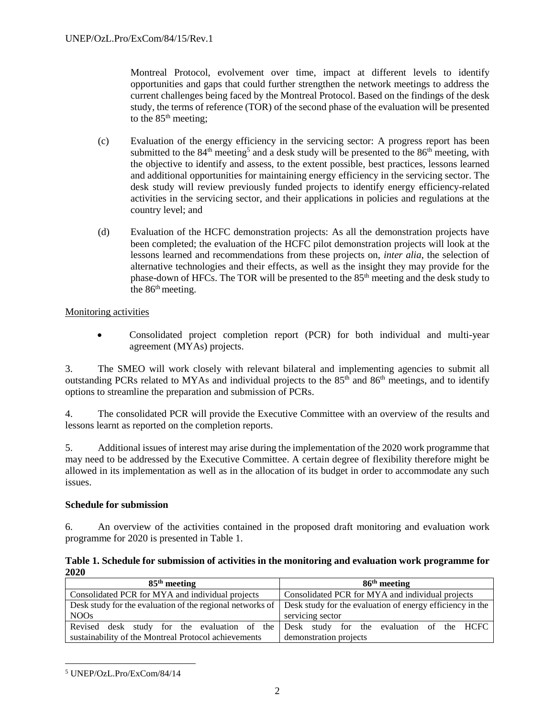Montreal Protocol, evolvement over time, impact at different levels to identify opportunities and gaps that could further strengthen the network meetings to address the current challenges being faced by the Montreal Protocol. Based on the findings of the desk study, the terms of reference (TOR) of the second phase of the evaluation will be presented to the  $85<sup>th</sup>$  meeting;

- (c) Evaluation of the energy efficiency in the servicing sector: A progress report has been submitted to the  $84<sup>th</sup>$  meeting<sup>5</sup> and a desk study will be presented to the  $86<sup>th</sup>$  meeting, with the objective to identify and assess, to the extent possible, best practices, lessons learned and additional opportunities for maintaining energy efficiency in the servicing sector. The desk study will review previously funded projects to identify energy efficiency-related activities in the servicing sector, and their applications in policies and regulations at the country level; and
- (d) Evaluation of the HCFC demonstration projects: As all the demonstration projects have been completed; the evaluation of the HCFC pilot demonstration projects will look at the lessons learned and recommendations from these projects on, *inter alia*, the selection of alternative technologies and their effects, as well as the insight they may provide for the phase-down of HFCs. The TOR will be presented to the 85<sup>th</sup> meeting and the desk study to the 86<sup>th</sup> meeting.

# Monitoring activities

 Consolidated project completion report (PCR) for both individual and multi-year agreement (MYAs) projects.

3. The SMEO will work closely with relevant bilateral and implementing agencies to submit all outstanding PCRs related to MYAs and individual projects to the 85<sup>th</sup> and 86<sup>th</sup> meetings, and to identify options to streamline the preparation and submission of PCRs.

4. The consolidated PCR will provide the Executive Committee with an overview of the results and lessons learnt as reported on the completion reports.

5. Additional issues of interest may arise during the implementation of the 2020 work programme that may need to be addressed by the Executive Committee. A certain degree of flexibility therefore might be allowed in its implementation as well as in the allocation of its budget in order to accommodate any such issues.

#### **Schedule for submission**

6. An overview of the activities contained in the proposed draft monitoring and evaluation work programme for 2020 is presented in Table 1.

#### **Table 1. Schedule for submission of activities in the monitoring and evaluation work programme for 2020**

| $85th$ meeting                                       | $86th$ meeting                                                                                                      |  |  |
|------------------------------------------------------|---------------------------------------------------------------------------------------------------------------------|--|--|
| Consolidated PCR for MYA and individual projects     | Consolidated PCR for MYA and individual projects                                                                    |  |  |
|                                                      | Desk study for the evaluation of the regional networks of Desk study for the evaluation of energy efficiency in the |  |  |
| NO <sub>Os</sub>                                     | servicing sector                                                                                                    |  |  |
|                                                      | Revised desk study for the evaluation of the Desk study for the evaluation of the HCFC                              |  |  |
| sustainability of the Montreal Protocol achievements | demonstration projects                                                                                              |  |  |